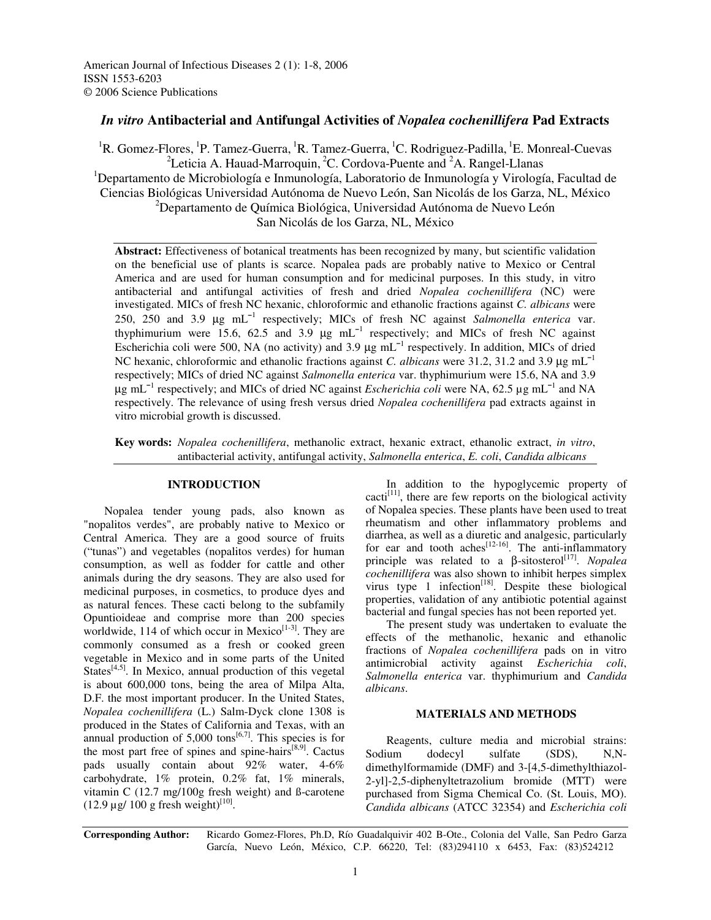# *In vitro* **Antibacterial and Antifungal Activities of** *Nopalea cochenillifera* **Pad Extracts**

<sup>1</sup>R. Gomez-Flores, <sup>1</sup>P. Tamez-Guerra, <sup>1</sup>R. Tamez-Guerra, <sup>1</sup>C. Rodriguez-Padilla, <sup>1</sup>E. Monreal-Cuevas <sup>2</sup>Leticia A. Hauad-Marroquin, <sup>2</sup>C. Cordova-Puente and <sup>2</sup>A. Rangel-Llanas <sup>1</sup>Departamento de Microbiología e Inmunología, Laboratorio de Inmunología y Virología, Facultad de Ciencias Biológicas Universidad Autónoma de Nuevo León, San Nicolás de los Garza, NL, México <sup>2</sup>Departamento de Química Biológica, Universidad Autónoma de Nuevo León San Nicolás de los Garza, NL, México

**Abstract:** Effectiveness of botanical treatments has been recognized by many, but scientific validation on the beneficial use of plants is scarce. Nopalea pads are probably native to Mexico or Central America and are used for human consumption and for medicinal purposes. In this study, in vitro antibacterial and antifungal activities of fresh and dried *Nopalea cochenillifera* (NC) were investigated. MICs of fresh NC hexanic, chloroformic and ethanolic fractions against *C. albicans* were 250, 250 and 3.9 µg mL 1 respectively; MICs of fresh NC against *Salmonella enterica* var. thyphimurium were 15.6, 62.5 and 3.9  $\mu$ g mL<sup>-1</sup> respectively; and MICs of fresh NC against Escherichia coli were 500, NA (no activity) and 3.9  $\mu$ g mL<sup>-1</sup> respectively. In addition, MICs of dried NC hexanic, chloroformic and ethanolic fractions against *C. albicans* were 31.2, 31.2 and 3.9 μg mL<sup>-1</sup> respectively; MICs of dried NC against *Salmonella enterica* var. thyphimurium were 15.6, NA and 3.9 µg mL 1 respectively; and MICs of dried NC against *Escherichia coli* were NA, 62.5 µg mL 1 and NA respectively. The relevance of using fresh versus dried *Nopalea cochenillifera* pad extracts against in vitro microbial growth is discussed.

**Key words:** *Nopalea cochenillifera*, methanolic extract, hexanic extract, ethanolic extract, *in vitro*, antibacterial activity, antifungal activity, *Salmonella enterica*, *E. coli*, *Candida albicans*

## **INTRODUCTION**

Nopalea tender young pads, also known as "nopalitos verdes", are probably native to Mexico or Central America. They are a good source of fruits ("tunas") and vegetables (nopalitos verdes) for human consumption, as well as fodder for cattle and other animals during the dry seasons. They are also used for medicinal purposes, in cosmetics, to produce dyes and as natural fences. These cacti belong to the subfamily Opuntioideae and comprise more than 200 species worldwide, 114 of which occur in Mexico $[1-3]$ . They are commonly consumed as a fresh or cooked green vegetable in Mexico and in some parts of the United States<sup>[4,5]</sup>. In Mexico, annual production of this vegetal is about 600,000 tons, being the area of Milpa Alta, D.F. the most important producer. In the United States, *Nopalea cochenillifera* (L.) Salm-Dyck clone 1308 is produced in the States of California and Texas, with an annual production of  $5,000$  tons<sup>[6,7]</sup>. This species is for the most part free of spines and spine-hairs<sup>[8,9]</sup>. Cactus pads usually contain about 92% water, 4-6% carbohydrate, 1% protein, 0.2% fat, 1% minerals, vitamin C (12.7 mg/100g fresh weight) and ß-carotene  $(12.9 \,\mu g/ 100 \, g \text{ fresh weight})^{[10]}$ .

In addition to the hypoglycemic property of cacti<sup>[11]</sup>, there are few reports on the biological activity of Nopalea species. These plants have been used to treat rheumatism and other inflammatory problems and diarrhea, as well as a diuretic and analgesic, particularly for ear and tooth aches  $[12-16]$ . The anti-inflammatory principle was related to a β-sitosterol [17] . *Nopalea cochenillifera* was also shown to inhibit herpes simplex virus type 1 infection<sup>[18]</sup>. Despite these biological properties, validation of any antibiotic potential against bacterial and fungal species has not been reported yet.

The present study was undertaken to evaluate the effects of the methanolic, hexanic and ethanolic fractions of *Nopalea cochenillifera* pads on in vitro antimicrobial activity against *Escherichia coli*, *Salmonella enterica* var. thyphimurium and *Candida albicans*.

## **MATERIALS AND METHODS**

Reagents, culture media and microbial strains: Sodium dodecyl sulfate (SDS), N,Ndimethylformamide (DMF) and 3-[4,5-dimethylthiazol-2-yl]-2,5-diphenyltetrazolium bromide (MTT) were purchased from Sigma Chemical Co. (St. Louis, MO). *Candida albicans* (ATCC 32354) and *Escherichia coli*

**Corresponding Author:** Ricardo Gomez-Flores, Ph.D, Río Guadalquivir 402 B-Ote., Colonia del Valle, San Pedro Garza García, Nuevo León, México, C.P. 66220, Tel: (83)294110 x 6453, Fax: (83)524212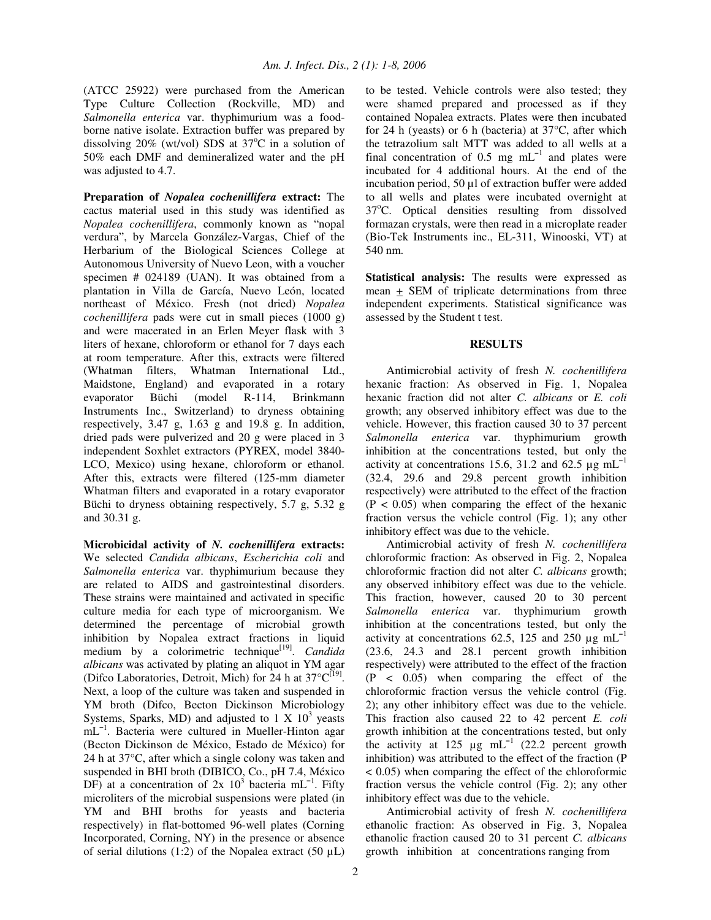(ATCC 25922) were purchased from the American Type Culture Collection (Rockville, MD) and *Salmonella enterica* var. thyphimurium was a foodborne native isolate. Extraction buffer was prepared by dissolving  $20\%$  (wt/vol) SDS at  $37^{\circ}$ C in a solution of 50% each DMF and demineralized water and the pH was adjusted to 4.7.

**Preparation of** *Nopalea cochenillifera* **extract:** The cactus material used in this study was identified as *Nopalea cochenillifera*, commonly known as "nopal verdura", by Marcela González-Vargas, Chief of the Herbarium of the Biological Sciences College at Autonomous University of Nuevo Leon, with a voucher specimen # 024189 (UAN). It was obtained from a plantation in Villa de García, Nuevo León, located northeast of México. Fresh (not dried) *Nopalea cochenillifera* pads were cut in small pieces (1000 g) and were macerated in an Erlen Meyer flask with 3 liters of hexane, chloroform or ethanol for 7 days each at room temperature. After this, extracts were filtered (Whatman filters, Whatman International Ltd., Maidstone, England) and evaporated in a rotary evaporator Büchi (model R-114, Brinkmann Instruments Inc., Switzerland) to dryness obtaining respectively, 3.47 g, 1.63 g and 19.8 g. In addition, dried pads were pulverized and 20 g were placed in 3 independent Soxhlet extractors (PYREX, model 3840- LCO, Mexico) using hexane, chloroform or ethanol. After this, extracts were filtered (125-mm diameter Whatman filters and evaporated in a rotary evaporator Büchi to dryness obtaining respectively, 5.7 g, 5.32 g and 30.31 g.

**Microbicidal activity of** *N. cochenillifera* **extracts:** We selected *Candida albicans*, *Escherichia coli* and *Salmonella enterica* var. thyphimurium because they are related to AIDS and gastrointestinal disorders. These strains were maintained and activated in specific culture media for each type of microorganism. We determined the percentage of microbial growth inhibition by Nopalea extract fractions in liquid medium by a colorimetric technique<sup>[19]</sup>. *Candida albicans* was activated by plating an aliquot in YM agar (Difco Laboratories, Detroit, Mich) for 24 h at 37°C<sup>[19]</sup>. Next, a loop of the culture was taken and suspended in YM broth (Difco, Becton Dickinson Microbiology Systems, Sparks, MD) and adjusted to  $1 \text{ X } 10^3$  yeasts mL<sup>-1</sup>. Bacteria were cultured in Mueller-Hinton agar (Becton Dickinson de México, Estado de México) for 24 h at 37°C, after which a single colony was taken and suspended in BHI broth (DIBICO, Co., pH 7.4, México DF) at a concentration of  $2x$  10<sup>3</sup> bacteria mL<sup>-1</sup>. Fifty microliters of the microbial suspensions were plated (in YM and BHI broths for yeasts and bacteria respectively) in flat-bottomed 96-well plates (Corning Incorporated, Corning, NY) in the presence or absence of serial dilutions (1:2) of the Nopalea extract (50  $\mu$ L)

to be tested. Vehicle controls were also tested; they were shamed prepared and processed as if they contained Nopalea extracts. Plates were then incubated for 24 h (yeasts) or 6 h (bacteria) at  $37^{\circ}$ C, after which the tetrazolium salt MTT was added to all wells at a final concentration of 0.5 mg  $mL^{-1}$  and plates were incubated for 4 additional hours. At the end of the incubation period, 50 µl of extraction buffer were added to all wells and plates were incubated overnight at 37°C. Optical densities resulting from dissolved formazan crystals, were then read in a microplate reader (Bio-Tek Instruments inc., EL-311, Winooski, VT) at 540 nm.

**Statistical analysis:** The results were expressed as mean + SEM of triplicate determinations from three independent experiments. Statistical significance was assessed by the Student t test.

## **RESULTS**

Antimicrobial activity of fresh *N. cochenillifera* hexanic fraction: As observed in Fig. 1, Nopalea hexanic fraction did not alter *C. albicans* or *E. coli* growth; any observed inhibitory effect was due to the vehicle. However, this fraction caused 30 to 37 percent *Salmonella enterica* var. thyphimurium growth inhibition at the concentrations tested, but only the activity at concentrations 15.6, 31.2 and 62.5  $\mu$ g mL<sup>-1</sup> (32.4, 29.6 and 29.8 percent growth inhibition respectively) were attributed to the effect of the fraction  $(P < 0.05)$  when comparing the effect of the hexanic fraction versus the vehicle control (Fig. 1); any other inhibitory effect was due to the vehicle.

Antimicrobial activity of fresh *N. cochenillifera* chloroformic fraction: As observed in Fig. 2, Nopalea chloroformic fraction did not alter *C. albicans* growth; any observed inhibitory effect was due to the vehicle. This fraction, however, caused 20 to 30 percent *Salmonella enterica* var. thyphimurium growth inhibition at the concentrations tested, but only the activity at concentrations 62.5, 125 and 250  $\mu$ g mL<sup>-1</sup> (23.6, 24.3 and 28.1 percent growth inhibition respectively) were attributed to the effect of the fraction (P < 0.05) when comparing the effect of the chloroformic fraction versus the vehicle control (Fig. 2); any other inhibitory effect was due to the vehicle. This fraction also caused 22 to 42 percent *E. coli* growth inhibition at the concentrations tested, but only the activity at 125  $\mu$ g mL<sup>-1</sup> (22.2 percent growth inhibition) was attributed to the effect of the fraction (P < 0.05) when comparing the effect of the chloroformic fraction versus the vehicle control (Fig. 2); any other inhibitory effect was due to the vehicle.

Antimicrobial activity of fresh *N. cochenillifera* ethanolic fraction: As observed in Fig. 3, Nopalea ethanolic fraction caused 20 to 31 percent *C. albicans* growth inhibition at concentrations ranging from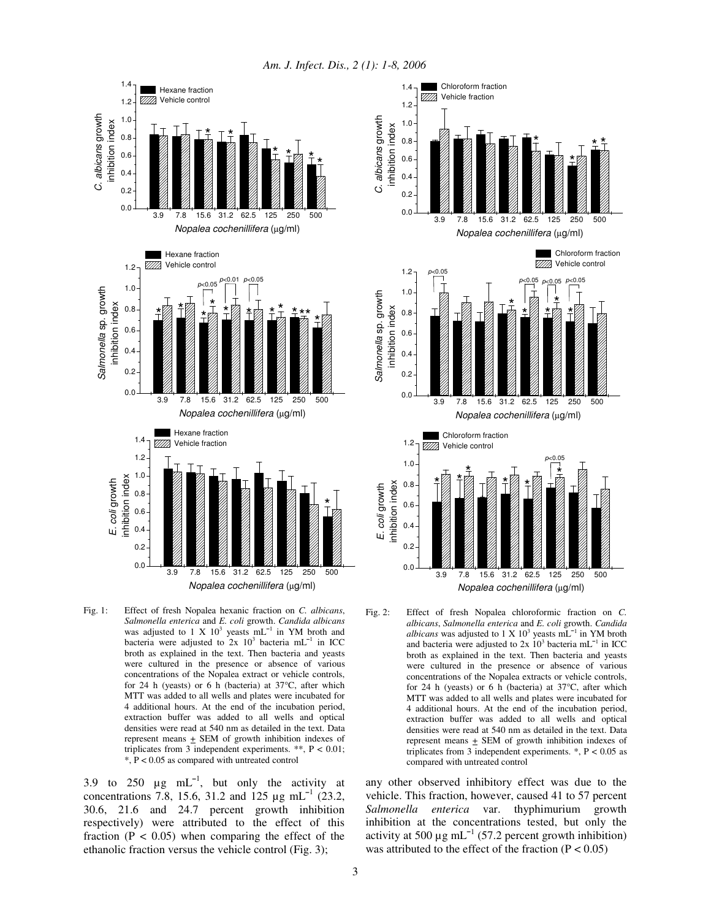*Am. J. Infect. Dis., 2 (1): 1-8, 2006*



Fig. 1: Effect of fresh Nopalea hexanic fraction on *C. albicans*, *Salmonella enterica* and *E. coli* growth. *Candida albicans* was adjusted to 1 X  $10^3$  yeasts mL<sup>-1</sup> in YM broth and bacteria were adjusted to  $2x$  10<sup>3</sup> bacteria mL<sup>-1</sup> in ICC broth as explained in the text. Then bacteria and yeasts were cultured in the presence or absence of various concentrations of the Nopalea extract or vehicle controls, for 24 h (yeasts) or 6 h (bacteria) at 37°C, after which MTT was added to all wells and plates were incubated for 4 additional hours. At the end of the incubation period, extraction buffer was added to all wells and optical densities were read at 540 nm as detailed in the text. Data represent means  $\pm$  SEM of growth inhibition indexes of triplicates from 3 independent experiments. \*\*,  $P < 0.01$ ; \*, P < 0.05 as compared with untreated control

3.9 to 250  $\mu$ g mL<sup>-1</sup>, but only the activity at concentrations 7.8, 15.6, 31.2 and 125  $\mu$ g mL<sup>-1</sup> (23.2, 30.6, 21.6 and 24.7 percent growth inhibition respectively) were attributed to the effect of this fraction ( $P < 0.05$ ) when comparing the effect of the ethanolic fraction versus the vehicle control (Fig. 3);



Fig. 2: Effect of fresh Nopalea chloroformic fraction on *C. albicans*, *Salmonella enterica* and *E. coli* growth. *Candida albicans* was adjusted to  $1 \times 10^3$  yeasts  $mL^{-1}$  in YM broth and bacteria were adjusted to  $2x$   $10^3$  bacteria mL<sup>-1</sup> in ICC broth as explained in the text. Then bacteria and yeasts were cultured in the presence or absence of various concentrations of the Nopalea extracts or vehicle controls, for 24 h (yeasts) or 6 h (bacteria) at 37°C, after which MTT was added to all wells and plates were incubated for 4 additional hours. At the end of the incubation period, extraction buffer was added to all wells and optical densities were read at 540 nm as detailed in the text. Data represent means  $+$  SEM of growth inhibition indexes of triplicates from 3 independent experiments.  $*$ ,  $P < 0.05$  as compared with untreated control

any other observed inhibitory effect was due to the vehicle. This fraction, however, caused 41 to 57 percent *Salmonella enterica* var. thyphimurium growth inhibition at the concentrations tested, but only the activity at 500  $\mu$ g mL<sup>-1</sup> (57.2 percent growth inhibition) was attributed to the effect of the fraction  $(P < 0.05)$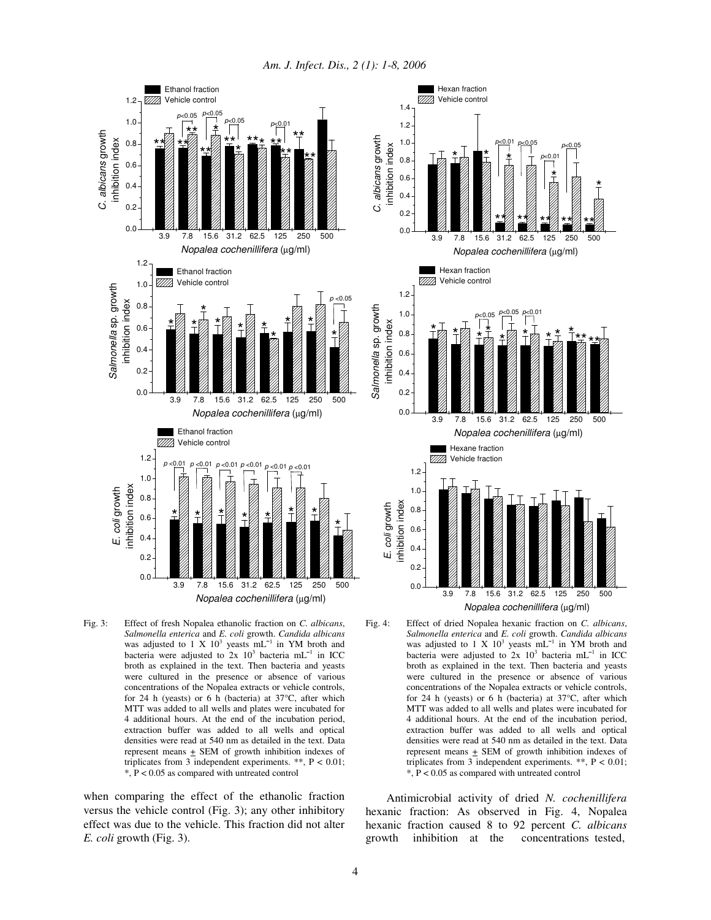*Am. J. Infect. Dis., 2 (1): 1-8, 2006*



Fig. 3: Effect of fresh Nopalea ethanolic fraction on *C. albicans*, *Salmonella enterica* and *E. coli* growth. *Candida albicans* was adjusted to 1 X  $10^3$  yeasts mL<sup>-1</sup> in YM broth and bacteria were adjusted to  $2x$  10<sup>3</sup> bacteria mL<sup>-1</sup> in ICC broth as explained in the text. Then bacteria and yeasts were cultured in the presence or absence of various concentrations of the Nopalea extracts or vehicle controls, for 24 h (yeasts) or 6 h (bacteria) at 37°C, after which MTT was added to all wells and plates were incubated for 4 additional hours. At the end of the incubation period, extraction buffer was added to all wells and optical densities were read at 540 nm as detailed in the text. Data represent means + SEM of growth inhibition indexes of triplicates from 3 independent experiments. \*\*,  $P < 0.01$ ; \*, P < 0.05 as compared with untreated control

when comparing the effect of the ethanolic fraction versus the vehicle control (Fig. 3); any other inhibitory effect was due to the vehicle. This fraction did not alter *E. coli* growth (Fig. 3).





Antimicrobial activity of dried *N. cochenillifera* hexanic fraction: As observed in Fig. 4, Nopalea hexanic fraction caused 8 to 92 percent *C. albicans* growth inhibition at the concentrations tested,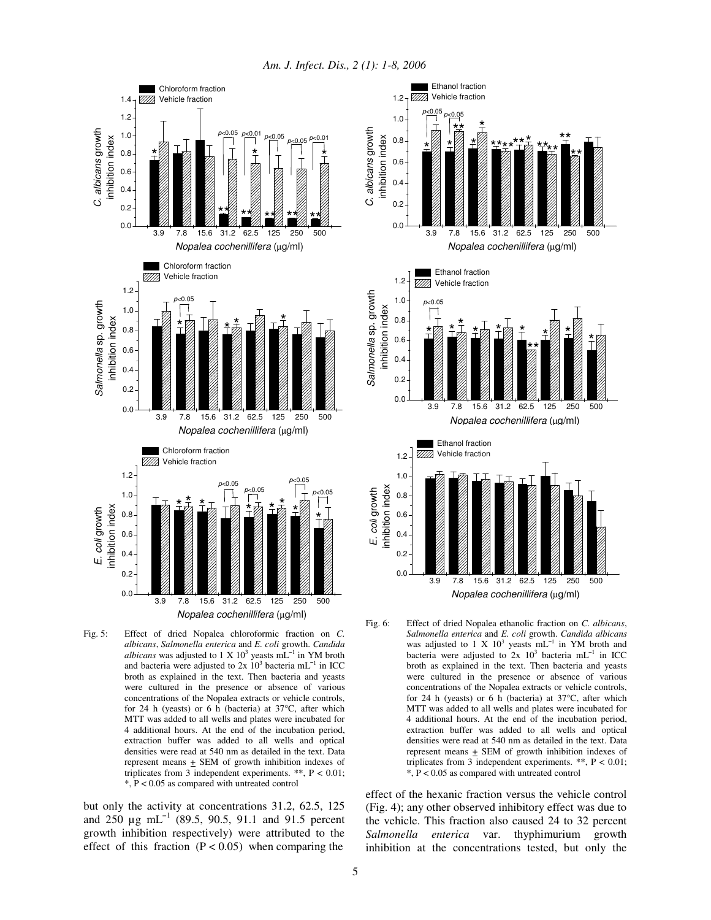*Am. J. Infect. Dis., 2 (1): 1-8, 2006*





but only the activity at concentrations 31.2, 62.5, 125 and  $250 \mu g$  mL<sup>-1</sup> (89.5, 90.5, 91.1 and 91.5 percent growth inhibition respectively) were attributed to the effect of this fraction  $(P < 0.05)$  when comparing the



Fig. 6: Effect of dried Nopalea ethanolic fraction on *C. albicans*, *Salmonella enterica* and *E. coli* growth. *Candida albicans* was adjusted to 1 X  $10^3$  yeasts mL<sup>-1</sup> in YM broth and bacteria were adjusted to  $2x$  10<sup>3</sup> bacteria mL<sup>-1</sup> in ICC broth as explained in the text. Then bacteria and yeasts were cultured in the presence or absence of various concentrations of the Nopalea extracts or vehicle controls, for 24 h (yeasts) or 6 h (bacteria) at  $37^{\circ}$ C, after which MTT was added to all wells and plates were incubated for 4 additional hours. At the end of the incubation period, extraction buffer was added to all wells and optical densities were read at 540 nm as detailed in the text. Data represent means + SEM of growth inhibition indexes of triplicates from 3 independent experiments. \*\*, P < 0.01; \*, P < 0.05 as compared with untreated control

effect of the hexanic fraction versus the vehicle control (Fig. 4); any other observed inhibitory effect was due to the vehicle. This fraction also caused 24 to 32 percent *Salmonella enterica* var. thyphimurium growth inhibition at the concentrations tested, but only the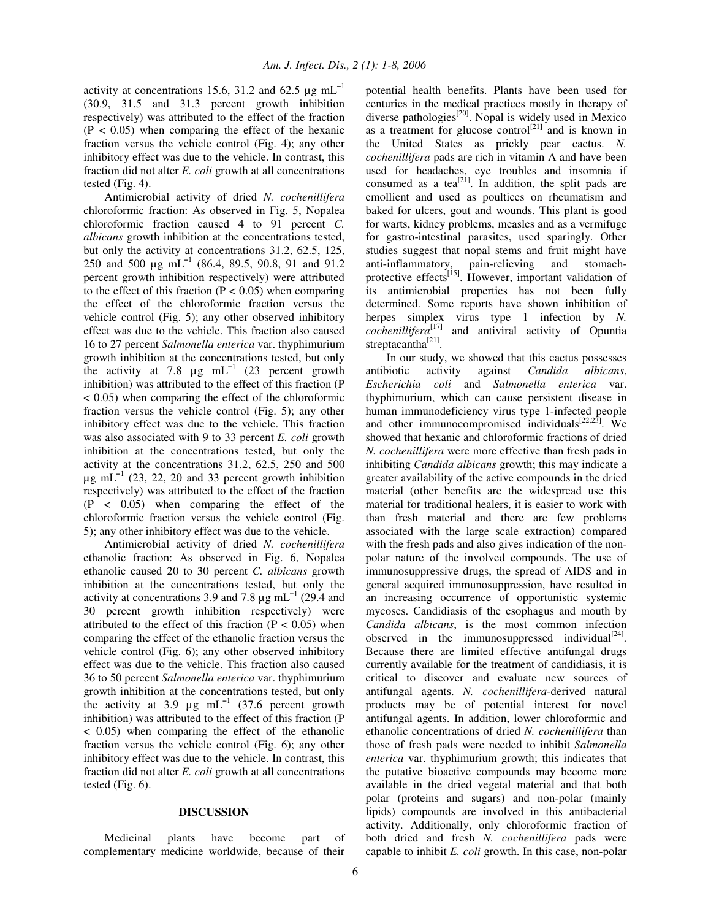activity at concentrations 15.6, 31.2 and 62.5  $\mu$ g mL<sup>-1</sup> (30.9, 31.5 and 31.3 percent growth inhibition respectively) was attributed to the effect of the fraction  $(P < 0.05)$  when comparing the effect of the hexanic fraction versus the vehicle control (Fig. 4); any other inhibitory effect was due to the vehicle. In contrast, this fraction did not alter *E. coli* growth at all concentrations tested (Fig. 4).

Antimicrobial activity of dried *N. cochenillifera* chloroformic fraction: As observed in Fig. 5, Nopalea chloroformic fraction caused 4 to 91 percent *C. albicans* growth inhibition at the concentrations tested, but only the activity at concentrations 31.2, 62.5, 125, 250 and 500  $\mu$ g mL<sup>-1</sup> (86.4, 89.5, 90.8, 91 and 91.2 percent growth inhibition respectively) were attributed to the effect of this fraction ( $P < 0.05$ ) when comparing the effect of the chloroformic fraction versus the vehicle control (Fig. 5); any other observed inhibitory effect was due to the vehicle. This fraction also caused 16 to 27 percent *Salmonella enterica* var. thyphimurium growth inhibition at the concentrations tested, but only the activity at 7.8  $\mu$ g mL<sup>-1</sup> (23 percent growth inhibition) was attributed to the effect of this fraction (P < 0.05) when comparing the effect of the chloroformic fraction versus the vehicle control (Fig. 5); any other inhibitory effect was due to the vehicle. This fraction was also associated with 9 to 33 percent *E. coli* growth inhibition at the concentrations tested, but only the activity at the concentrations 31.2, 62.5, 250 and 500  $\mu$ g mL<sup>-1</sup> (23, 22, 20 and 33 percent growth inhibition respectively) was attributed to the effect of the fraction (P < 0.05) when comparing the effect of the chloroformic fraction versus the vehicle control (Fig. 5); any other inhibitory effect was due to the vehicle.

Antimicrobial activity of dried *N. cochenillifera* ethanolic fraction: As observed in Fig. 6, Nopalea ethanolic caused 20 to 30 percent *C. albicans* growth inhibition at the concentrations tested, but only the activity at concentrations 3.9 and 7.8  $\mu$ g mL<sup>-1</sup> (29.4 and 30 percent growth inhibition respectively) were attributed to the effect of this fraction  $(P < 0.05)$  when comparing the effect of the ethanolic fraction versus the vehicle control (Fig. 6); any other observed inhibitory effect was due to the vehicle. This fraction also caused 36 to 50 percent *Salmonella enterica* var. thyphimurium growth inhibition at the concentrations tested, but only the activity at 3.9  $\mu$ g mL<sup>-1</sup> (37.6 percent growth inhibition) was attributed to the effect of this fraction (P < 0.05) when comparing the effect of the ethanolic fraction versus the vehicle control (Fig. 6); any other inhibitory effect was due to the vehicle. In contrast, this fraction did not alter *E. coli* growth at all concentrations tested (Fig. 6).

#### **DISCUSSION**

Medicinal plants have become part of complementary medicine worldwide, because of their potential health benefits. Plants have been used for centuries in the medical practices mostly in therapy of diverse pathologies<sup>[20]</sup>. Nopal is widely used in Mexico as a treatment for glucose control<sup>[21]</sup> and is known in the United States as prickly pear cactus. *N. cochenillifera* pads are rich in vitamin A and have been used for headaches, eye troubles and insomnia if consumed as a tea<sup>[21]</sup>. In addition, the split pads are emollient and used as poultices on rheumatism and baked for ulcers, gout and wounds. This plant is good for warts, kidney problems, measles and as a vermifuge for gastro-intestinal parasites, used sparingly. Other studies suggest that nopal stems and fruit might have anti-inflammatory, pain-relieving and stomachprotective effects<sup>[15]</sup>. However, important validation of its antimicrobial properties has not been fully determined. Some reports have shown inhibition of herpes simplex virus type 1 infection by *N. cochenillifera* [17] and antiviral activity of Opuntia streptacantha<sup>[21]</sup>.

In our study, we showed that this cactus possesses antibiotic activity against *Candida albicans*, *Escherichia coli* and *Salmonella enterica* var. thyphimurium, which can cause persistent disease in human immunodeficiency virus type 1-infected people and other immunocompromised individuals $[22,23]$ . We showed that hexanic and chloroformic fractions of dried *N. cochenillifera* were more effective than fresh pads in inhibiting *Candida albicans* growth; this may indicate a greater availability of the active compounds in the dried material (other benefits are the widespread use this material for traditional healers, it is easier to work with than fresh material and there are few problems associated with the large scale extraction) compared with the fresh pads and also gives indication of the nonpolar nature of the involved compounds. The use of immunosuppressive drugs, the spread of AIDS and in general acquired immunosuppression, have resulted in an increasing occurrence of opportunistic systemic mycoses. Candidiasis of the esophagus and mouth by *Candida albicans*, is the most common infection observed in the immunosuppressed individual $[24]$ . Because there are limited effective antifungal drugs currently available for the treatment of candidiasis, it is critical to discover and evaluate new sources of antifungal agents. *N. cochenillifera*-derived natural products may be of potential interest for novel antifungal agents. In addition, lower chloroformic and ethanolic concentrations of dried *N. cochenillifera* than those of fresh pads were needed to inhibit *Salmonella enterica* var. thyphimurium growth; this indicates that the putative bioactive compounds may become more available in the dried vegetal material and that both polar (proteins and sugars) and non-polar (mainly lipids) compounds are involved in this antibacterial activity. Additionally, only chloroformic fraction of both dried and fresh *N. cochenillifera* pads were capable to inhibit *E. coli* growth. In this case, non-polar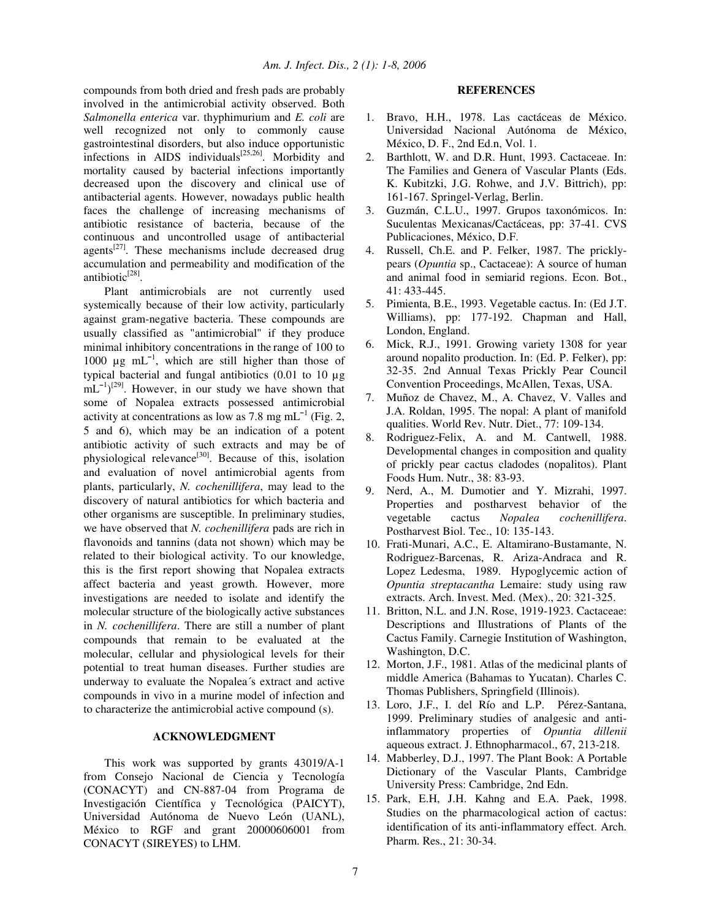compounds from both dried and fresh pads are probably involved in the antimicrobial activity observed. Both *Salmonella enterica* var. thyphimurium and *E. coli* are well recognized not only to commonly cause gastrointestinal disorders, but also induce opportunistic infections in AIDS individuals<sup>[25,26]</sup>. Morbidity and mortality caused by bacterial infections importantly decreased upon the discovery and clinical use of antibacterial agents. However, nowadays public health faces the challenge of increasing mechanisms of antibiotic resistance of bacteria, because of the continuous and uncontrolled usage of antibacterial agents<sup>[27]</sup>. These mechanisms include decreased drug accumulation and permeability and modification of the antibiotic<sup>[28]</sup>.

Plant antimicrobials are not currently used systemically because of their low activity, particularly against gram-negative bacteria. These compounds are usually classified as "antimicrobial" if they produce minimal inhibitory concentrations in the range of 100 to 1000  $\mu$ g mL<sup>-1</sup>, which are still higher than those of typical bacterial and fungal antibiotics (0.01 to 10 µg  $mL^{-1}$ <sup>[29]</sup>. However, in our study we have shown that some of Nopalea extracts possessed antimicrobial activity at concentrations as low as 7.8 mg mL<sup>-1</sup> (Fig. 2, 5 and 6), which may be an indication of a potent antibiotic activity of such extracts and may be of physiological relevance<sup>[30]</sup>. Because of this, isolation and evaluation of novel antimicrobial agents from plants, particularly, *N. cochenillifera*, may lead to the discovery of natural antibiotics for which bacteria and other organisms are susceptible. In preliminary studies, we have observed that *N. cochenillifera* pads are rich in flavonoids and tannins (data not shown) which may be related to their biological activity. To our knowledge, this is the first report showing that Nopalea extracts affect bacteria and yeast growth. However, more investigations are needed to isolate and identify the molecular structure of the biologically active substances in *N. cochenillifera*. There are still a number of plant compounds that remain to be evaluated at the molecular, cellular and physiological levels for their potential to treat human diseases. Further studies are underway to evaluate the Nopalea´s extract and active compounds in vivo in a murine model of infection and to characterize the antimicrobial active compound (s).

#### **ACKNOWLEDGMENT**

This work was supported by grants 43019/A-1 from Consejo Nacional de Ciencia y Tecnología (CONACYT) and CN-887-04 from Programa de Investigación Científica y Tecnológica (PAICYT), Universidad Autónoma de Nuevo León (UANL), México to RGF and grant 20000606001 from CONACYT (SIREYES) to LHM.

#### **REFERENCES**

- 1. Bravo, H.H., 1978. Las cactáceas de México. Universidad Nacional Autónoma de México, México, D. F., 2nd Ed.n, Vol. 1.
- 2. Barthlott, W. and D.R. Hunt, 1993. Cactaceae. In: The Families and Genera of Vascular Plants (Eds. K. Kubitzki, J.G. Rohwe, and J.V. Bittrich), pp: 161-167. Springel-Verlag, Berlin.
- 3. Guzmán, C.L.U., 1997. Grupos taxonómicos. In: Suculentas Mexicanas/Cactáceas, pp: 37-41. CVS Publicaciones, México, D.F.
- 4. Russell, Ch.E. and P. Felker, 1987. The pricklypears (*Opuntia* sp., Cactaceae): A source of human and animal food in semiarid regions. Econ. Bot., 41: 433-445.
- 5. Pimienta, B.E., 1993. Vegetable cactus. In: (Ed J.T. Williams), pp: 177-192. Chapman and Hall, London, England.
- 6. Mick, R.J., 1991. Growing variety 1308 for year around nopalito production. In: (Ed. P. Felker), pp: 32-35. 2nd Annual Texas Prickly Pear Council Convention Proceedings, McAllen, Texas, USA.
- 7. Muñoz de Chavez, M., A. Chavez, V. Valles and J.A. Roldan, 1995. The nopal: A plant of manifold qualities. World Rev. Nutr. Diet., 77: 109-134.
- 8. Rodriguez-Felix, A. and M. Cantwell, 1988. Developmental changes in composition and quality of prickly pear cactus cladodes (nopalitos). Plant Foods Hum. Nutr., 38: 83-93.
- 9. Nerd, A., M. Dumotier and Y. Mizrahi, 1997. Properties and postharvest behavior of the vegetable cactus *Nopalea cochenillifera*. Postharvest Biol. Tec., 10: 135-143.
- 10. Frati-Munari, A.C., E. Altamirano-Bustamante, N. Rodriguez-Barcenas, R. Ariza-Andraca and R. Lopez Ledesma, 1989. Hypoglycemic action of *Opuntia streptacantha* Lemaire: study using raw extracts. Arch. Invest. Med. (Mex)., 20: 321-325.
- 11. Britton, N.L. and J.N. Rose, 1919-1923. Cactaceae: Descriptions and Illustrations of Plants of the Cactus Family. Carnegie Institution of Washington, Washington, D.C.
- 12. Morton, J.F., 1981. Atlas of the medicinal plants of middle America (Bahamas to Yucatan). Charles C. Thomas Publishers, Springfield (Illinois).
- 13. Loro, J.F., I. del Río and L.P. Pérez-Santana, 1999. Preliminary studies of analgesic and antiinflammatory properties of *Opuntia dillenii* aqueous extract. J. Ethnopharmacol., 67, 213-218.
- 14. Mabberley, D.J., 1997. The Plant Book: A Portable Dictionary of the Vascular Plants, Cambridge University Press: Cambridge, 2nd Edn.
- 15. Park, E.H, J.H. Kahng and E.A. Paek, 1998. Studies on the pharmacological action of cactus: identification of its anti-inflammatory effect. Arch. Pharm. Res., 21: 30-34.